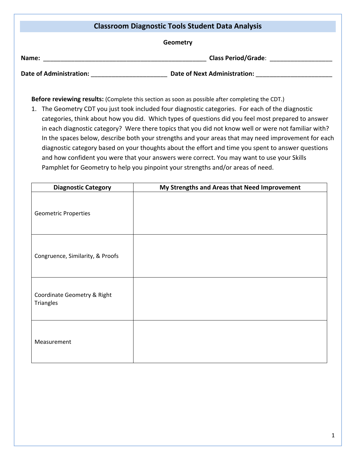## **Classroom Diagnostic Tools Student Data Analysis Geometry Name:** \_\_\_\_\_\_\_\_\_\_\_\_\_\_\_\_\_\_\_\_\_\_\_\_\_\_\_\_\_\_\_\_\_\_\_\_\_\_\_\_\_\_\_\_\_\_\_ **Class Period/Grade**: \_\_\_\_\_\_\_\_\_\_\_\_\_\_\_\_\_\_ **Date of Administration:** \_\_\_\_\_\_\_\_\_\_\_\_\_\_\_\_\_\_\_\_\_\_ **Date of Next Administration:** \_\_\_\_\_\_\_\_\_\_\_\_\_\_\_\_\_\_\_\_\_\_

**Before reviewing results:** (Complete this section as soon as possible after completing the CDT.)

1. The Geometry CDT you just took included four diagnostic categories. For each of the diagnostic categories, think about how you did. Which types of questions did you feel most prepared to answer in each diagnostic category? Were there topics that you did not know well or were not familiar with? In the spaces below, describe both your strengths and your areas that may need improvement for each diagnostic category based on your thoughts about the effort and time you spent to answer questions and how confident you were that your answers were correct. You may want to use your Skills Pamphlet for Geometry to help you pinpoint your strengths and/or areas of need.

| <b>Diagnostic Category</b>               | My Strengths and Areas that Need Improvement |
|------------------------------------------|----------------------------------------------|
| <b>Geometric Properties</b>              |                                              |
| Congruence, Similarity, & Proofs         |                                              |
| Coordinate Geometry & Right<br>Triangles |                                              |
| Measurement                              |                                              |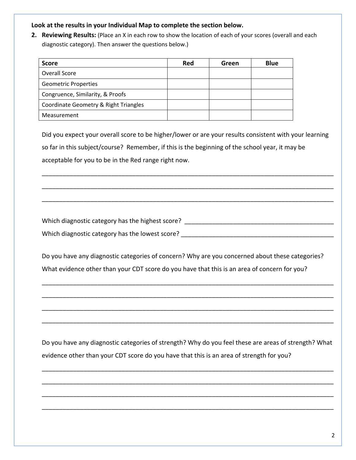## **Look at the results in your Individual Map to complete the section below.**

**2. Reviewing Results:** (Place an X in each row to show the location of each of your scores (overall and each diagnostic category). Then answer the questions below.)

| <b>Score</b>                          | Red | Green | <b>Blue</b> |
|---------------------------------------|-----|-------|-------------|
| Overall Score                         |     |       |             |
| <b>Geometric Properties</b>           |     |       |             |
| Congruence, Similarity, & Proofs      |     |       |             |
| Coordinate Geometry & Right Triangles |     |       |             |
| Measurement                           |     |       |             |

Did you expect your overall score to be higher/lower or are your results consistent with your learning so far in this subject/course? Remember, if this is the beginning of the school year, it may be acceptable for you to be in the Red range right now.

\_\_\_\_\_\_\_\_\_\_\_\_\_\_\_\_\_\_\_\_\_\_\_\_\_\_\_\_\_\_\_\_\_\_\_\_\_\_\_\_\_\_\_\_\_\_\_\_\_\_\_\_\_\_\_\_\_\_\_\_\_\_\_\_\_\_\_\_\_\_\_\_\_\_\_\_\_\_\_\_\_\_\_\_

\_\_\_\_\_\_\_\_\_\_\_\_\_\_\_\_\_\_\_\_\_\_\_\_\_\_\_\_\_\_\_\_\_\_\_\_\_\_\_\_\_\_\_\_\_\_\_\_\_\_\_\_\_\_\_\_\_\_\_\_\_\_\_\_\_\_\_\_\_\_\_\_\_\_\_\_\_\_\_\_\_\_\_\_

\_\_\_\_\_\_\_\_\_\_\_\_\_\_\_\_\_\_\_\_\_\_\_\_\_\_\_\_\_\_\_\_\_\_\_\_\_\_\_\_\_\_\_\_\_\_\_\_\_\_\_\_\_\_\_\_\_\_\_\_\_\_\_\_\_\_\_\_\_\_\_\_\_\_\_\_\_\_\_\_\_\_\_\_

Which diagnostic category has the highest score?  $\blacksquare$ Which diagnostic category has the lowest score? \_\_\_\_\_\_\_\_\_\_\_\_\_\_\_\_\_\_\_\_\_\_\_\_\_\_\_\_\_\_\_\_

Do you have any diagnostic categories of concern? Why are you concerned about these categories? What evidence other than your CDT score do you have that this is an area of concern for you?

\_\_\_\_\_\_\_\_\_\_\_\_\_\_\_\_\_\_\_\_\_\_\_\_\_\_\_\_\_\_\_\_\_\_\_\_\_\_\_\_\_\_\_\_\_\_\_\_\_\_\_\_\_\_\_\_\_\_\_\_\_\_\_\_\_\_\_\_\_\_\_\_\_\_\_\_\_\_\_\_\_\_\_\_

\_\_\_\_\_\_\_\_\_\_\_\_\_\_\_\_\_\_\_\_\_\_\_\_\_\_\_\_\_\_\_\_\_\_\_\_\_\_\_\_\_\_\_\_\_\_\_\_\_\_\_\_\_\_\_\_\_\_\_\_\_\_\_\_\_\_\_\_\_\_\_\_\_\_\_\_\_\_\_\_\_\_\_\_

\_\_\_\_\_\_\_\_\_\_\_\_\_\_\_\_\_\_\_\_\_\_\_\_\_\_\_\_\_\_\_\_\_\_\_\_\_\_\_\_\_\_\_\_\_\_\_\_\_\_\_\_\_\_\_\_\_\_\_\_\_\_\_\_\_\_\_\_\_\_\_\_\_\_\_\_\_\_\_\_\_\_\_\_

\_\_\_\_\_\_\_\_\_\_\_\_\_\_\_\_\_\_\_\_\_\_\_\_\_\_\_\_\_\_\_\_\_\_\_\_\_\_\_\_\_\_\_\_\_\_\_\_\_\_\_\_\_\_\_\_\_\_\_\_\_\_\_\_\_\_\_\_\_\_\_\_\_\_\_\_\_\_\_\_\_\_\_\_

Do you have any diagnostic categories of strength? Why do you feel these are areas of strength? What evidence other than your CDT score do you have that this is an area of strength for you?

\_\_\_\_\_\_\_\_\_\_\_\_\_\_\_\_\_\_\_\_\_\_\_\_\_\_\_\_\_\_\_\_\_\_\_\_\_\_\_\_\_\_\_\_\_\_\_\_\_\_\_\_\_\_\_\_\_\_\_\_\_\_\_\_\_\_\_\_\_\_\_\_\_\_\_\_\_\_\_\_\_\_\_\_

\_\_\_\_\_\_\_\_\_\_\_\_\_\_\_\_\_\_\_\_\_\_\_\_\_\_\_\_\_\_\_\_\_\_\_\_\_\_\_\_\_\_\_\_\_\_\_\_\_\_\_\_\_\_\_\_\_\_\_\_\_\_\_\_\_\_\_\_\_\_\_\_\_\_\_\_\_\_\_\_\_\_\_\_

\_\_\_\_\_\_\_\_\_\_\_\_\_\_\_\_\_\_\_\_\_\_\_\_\_\_\_\_\_\_\_\_\_\_\_\_\_\_\_\_\_\_\_\_\_\_\_\_\_\_\_\_\_\_\_\_\_\_\_\_\_\_\_\_\_\_\_\_\_\_\_\_\_\_\_\_\_\_\_\_\_\_\_\_

\_\_\_\_\_\_\_\_\_\_\_\_\_\_\_\_\_\_\_\_\_\_\_\_\_\_\_\_\_\_\_\_\_\_\_\_\_\_\_\_\_\_\_\_\_\_\_\_\_\_\_\_\_\_\_\_\_\_\_\_\_\_\_\_\_\_\_\_\_\_\_\_\_\_\_\_\_\_\_\_\_\_\_\_